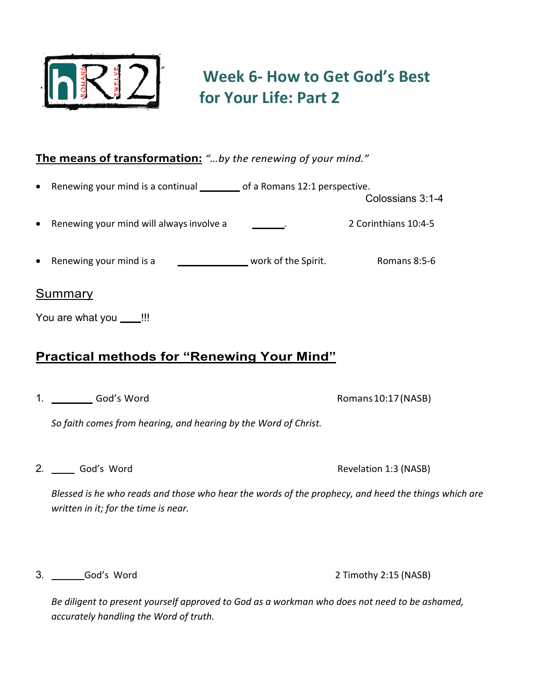

# **Week 6- How to Get God's Best for Your Life: Part 2**

## **The means of transformation:** *"…by the renewing of your mind."*

- Renewing your mind is a continual **LEFT LEFT** of a Romans 12:1 perspective.
- **Renewing your mind will always involve a BATE**. **BATE:** 2 Corinthians 10:4-5
- **Renewing your mind is a SUPERNATURAL WORK OF the Spirit.** Romans 8:5-6

#### Summary

You are what you **LACCO** !!!

## **Practical methods for "Renewing Your Mind"**

1. God's Word God's Word Romans10:17(NASB)

*So faith comes from hearing, and hearing by the Word of Christ.*

2. Sod's Word Revelation 1:3 (NASB)

Colossians 3:1-4

*Blessed is he who reads and those who hear the words of the prophecy, and heed the things which are written in it; for the time is near.*

3. Subset of the Study God's Word 2 Timothy 2:15 (NASB)

*Be diligent to present yourself approved to God as a workman who does not need to be ashamed, accurately handling the Word of truth.*